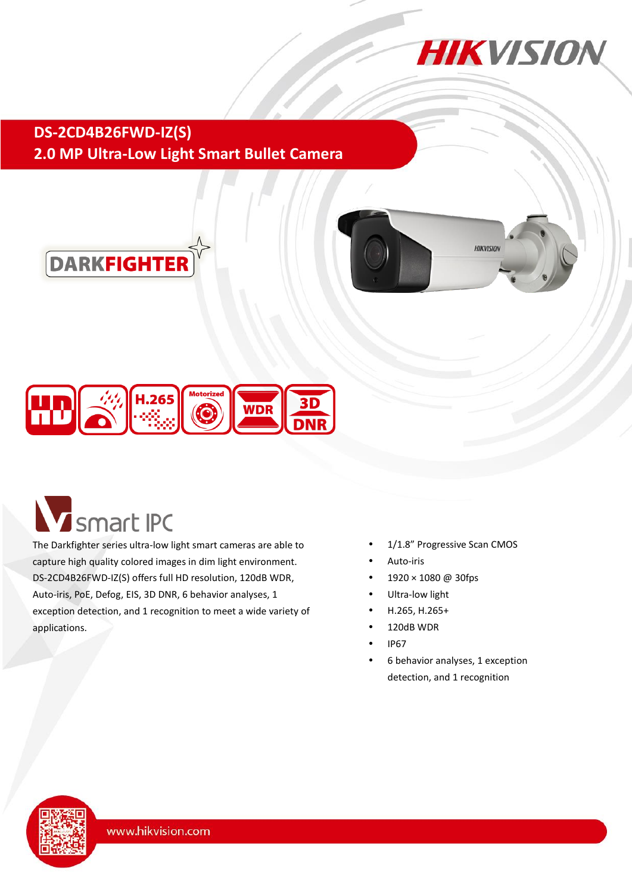

## **DS-2CD4B26FWD-IZ(S) 2.0 MP Ultra-Low Light Smart Bullet Camera**







# **V** smart IPC

The Darkfighter series ultra-low light smart cameras are able to capture high quality colored images in dim light environment. DS-2CD4B26FWD-IZ(S) offers full HD resolution, 120dB WDR, Auto-iris, PoE, Defog, EIS, 3D DNR, 6 behavior analyses, 1 exception detection, and 1 recognition to meet a wide variety of applications.

- 1/1.8" Progressive Scan CMOS
- Auto-iris
- 1920 × 1080 @ 30fps
- Ultra-low light
- H.265, H.265+
- 120dB WDR
- IP67
- 6 behavior analyses, 1 exception detection, and 1 recognition

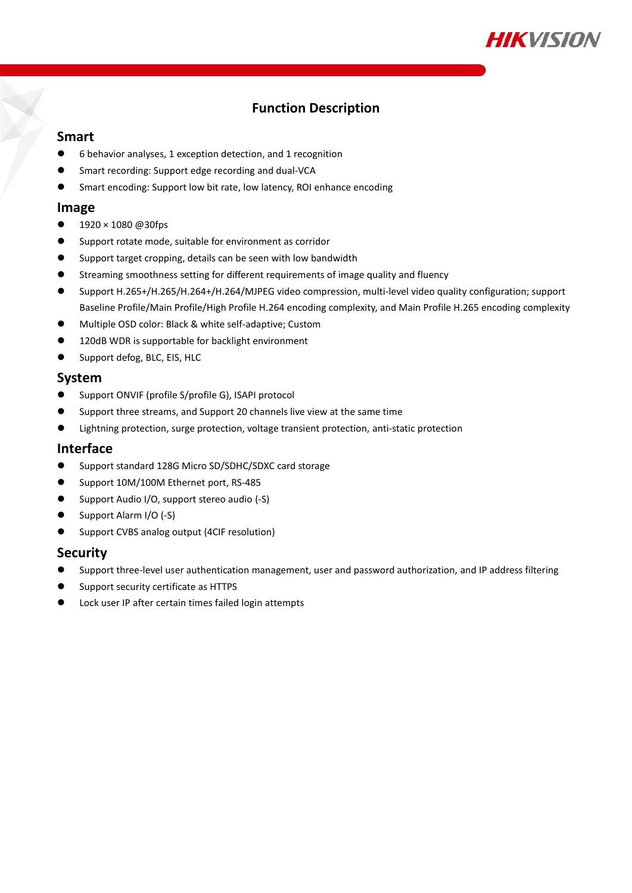

#### **Function Description**

#### **Smart**

- 6 behavior analyses, 1 exception detection, and 1 recognition
- Smart recording: Support edge recording and dual-VCA
- Smart encoding: Support low bit rate, low latency, ROI enhance encoding

#### **Image**

- $\bullet$  1920 × 1080 @30fps
- Support rotate mode, suitable for environment as corridor
- Support target cropping, details can be seen with low bandwidth
- Streaming smoothness setting for different requirements of image quality and fluency
- Support H.265+/H.265/H.264+/H.264/MJPEG video compression, multi-level video quality configuration; support Baseline Profile/Main Profile/High Profile H.264 encoding complexity, and Main Profile H.265 encoding complexity
- Multiple OSD color: Black & white self-adaptive; Custom
- 120dB WDR is supportable for backlight environment
- Support defog, BLC, EIS, HLC

#### **System**

- Support ONVIF (profile S/profile G), ISAPI protocol
- Support three streams, and Support 20 channels live view at the same time
- Lightning protection, surge protection, voltage transient protection, anti-static protection

#### **Interface**

- Support standard 128G Micro SD/SDHC/SDXC card storage
- Support 10M/100M Ethernet port, RS-485
- Support Audio I/O, support stereo audio (-S)
- Support Alarm I/O (-S)
- **•** Support CVBS analog output (4CIF resolution)

#### **Security**

- Support three-level user authentication management, user and password authorization, and IP address filtering
- Support security certificate as HTTPS
- Lock user IP after certain times failed login attempts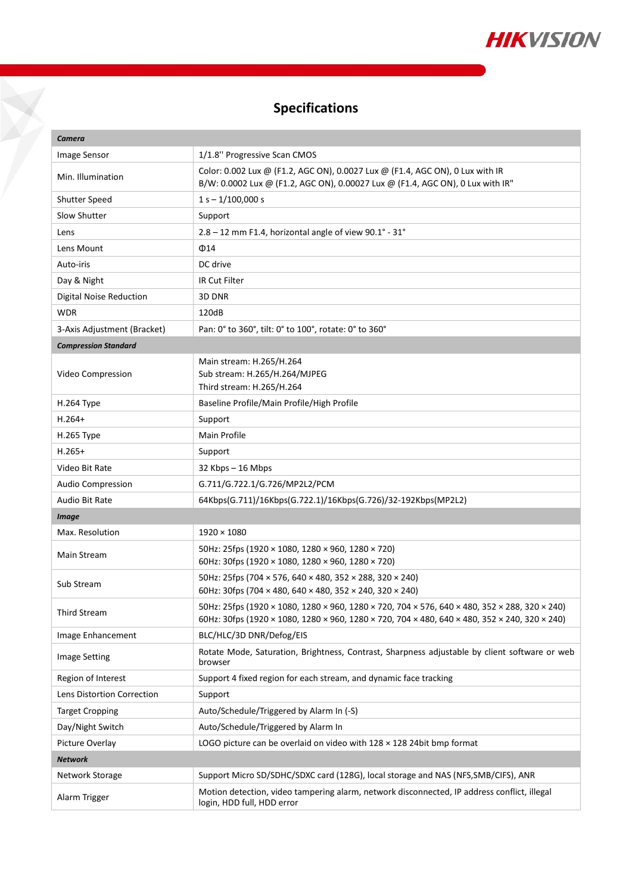

# **Specifications**

 $\sum_{i=1}^{n}$ 

| Camera                      |                                                                                                                                                                                                |
|-----------------------------|------------------------------------------------------------------------------------------------------------------------------------------------------------------------------------------------|
| <b>Image Sensor</b>         | 1/1.8" Progressive Scan CMOS                                                                                                                                                                   |
| Min. Illumination           | Color: 0.002 Lux @ (F1.2, AGC ON), 0.0027 Lux @ (F1.4, AGC ON), 0 Lux with IR<br>B/W: 0.0002 Lux @ (F1.2, AGC ON), 0.00027 Lux @ (F1.4, AGC ON), 0 Lux with IR"                                |
| Shutter Speed               | $1 s - 1/100,000 s$                                                                                                                                                                            |
| Slow Shutter                | Support                                                                                                                                                                                        |
| Lens                        | 2.8 - 12 mm F1.4, horizontal angle of view 90.1° - 31°                                                                                                                                         |
| Lens Mount                  | $\Phi$ 14                                                                                                                                                                                      |
| Auto-iris                   | DC drive                                                                                                                                                                                       |
| Day & Night                 | <b>IR Cut Filter</b>                                                                                                                                                                           |
| Digital Noise Reduction     | 3D DNR                                                                                                                                                                                         |
| <b>WDR</b>                  | 120dB                                                                                                                                                                                          |
| 3-Axis Adjustment (Bracket) | Pan: 0° to 360°, tilt: 0° to 100°, rotate: 0° to 360°                                                                                                                                          |
| <b>Compression Standard</b> |                                                                                                                                                                                                |
| Video Compression           | Main stream: H.265/H.264<br>Sub stream: H.265/H.264/MJPEG<br>Third stream: H.265/H.264                                                                                                         |
| H.264 Type                  | Baseline Profile/Main Profile/High Profile                                                                                                                                                     |
| $H.264+$                    | Support                                                                                                                                                                                        |
| H.265 Type                  | <b>Main Profile</b>                                                                                                                                                                            |
| $H.265+$                    | Support                                                                                                                                                                                        |
| Video Bit Rate              | $32$ Kbps $-16$ Mbps                                                                                                                                                                           |
| <b>Audio Compression</b>    | G.711/G.722.1/G.726/MP2L2/PCM                                                                                                                                                                  |
| Audio Bit Rate              | 64Kbps(G.711)/16Kbps(G.722.1)/16Kbps(G.726)/32-192Kbps(MP2L2)                                                                                                                                  |
| <b>Image</b>                |                                                                                                                                                                                                |
| Max. Resolution             | $1920 \times 1080$                                                                                                                                                                             |
| Main Stream                 | 50Hz: 25fps (1920 × 1080, 1280 × 960, 1280 × 720)<br>60Hz: 30fps (1920 × 1080, 1280 × 960, 1280 × 720)                                                                                         |
| Sub Stream                  | 50Hz: 25fps (704 × 576, 640 × 480, 352 × 288, 320 × 240)<br>60Hz: 30fps (704 $\times$ 480, 640 $\times$ 480, 352 $\times$ 240, 320 $\times$ 240)                                               |
| Third Stream                | 50Hz: 25fps (1920 × 1080, 1280 × 960, 1280 × 720, 704 × 576, 640 × 480, 352 × 288, 320 × 240)<br>60Hz: 30fps (1920 × 1080, 1280 × 960, 1280 × 720, 704 × 480, 640 × 480, 352 × 240, 320 × 240) |
| Image Enhancement           | BLC/HLC/3D DNR/Defog/EIS                                                                                                                                                                       |
| <b>Image Setting</b>        | Rotate Mode, Saturation, Brightness, Contrast, Sharpness adjustable by client software or web<br>browser                                                                                       |
| Region of Interest          | Support 4 fixed region for each stream, and dynamic face tracking                                                                                                                              |
| Lens Distortion Correction  | Support                                                                                                                                                                                        |
| <b>Target Cropping</b>      | Auto/Schedule/Triggered by Alarm In (-S)                                                                                                                                                       |
| Day/Night Switch            | Auto/Schedule/Triggered by Alarm In                                                                                                                                                            |
| Picture Overlay             | LOGO picture can be overlaid on video with $128 \times 128$ 24bit bmp format                                                                                                                   |
| Network                     |                                                                                                                                                                                                |
| Network Storage             | Support Micro SD/SDHC/SDXC card (128G), local storage and NAS (NFS, SMB/CIFS), ANR                                                                                                             |
| Alarm Trigger               | Motion detection, video tampering alarm, network disconnected, IP address conflict, illegal<br>login, HDD full, HDD error                                                                      |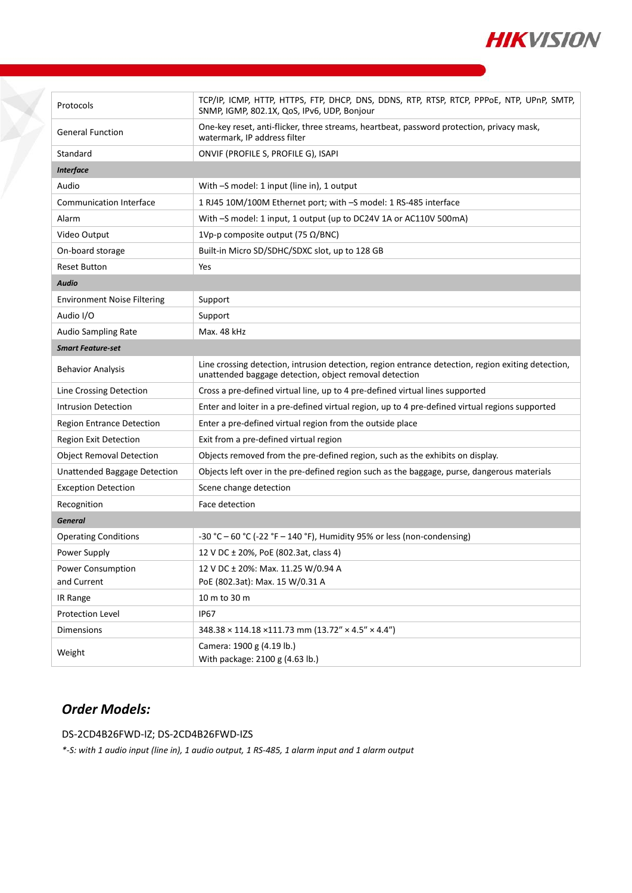

| Protocols                          | TCP/IP, ICMP, HTTP, HTTPS, FTP, DHCP, DNS, DDNS, RTP, RTSP, RTCP, PPPOE, NTP, UPnP, SMTP,<br>SNMP, IGMP, 802.1X, QoS, IPv6, UDP, Bonjour                     |
|------------------------------------|--------------------------------------------------------------------------------------------------------------------------------------------------------------|
| <b>General Function</b>            | One-key reset, anti-flicker, three streams, heartbeat, password protection, privacy mask,<br>watermark, IP address filter                                    |
| Standard                           | ONVIF (PROFILE S, PROFILE G), ISAPI                                                                                                                          |
| <b>Interface</b>                   |                                                                                                                                                              |
| Audio                              | With -S model: 1 input (line in), 1 output                                                                                                                   |
| <b>Communication Interface</b>     | 1 RJ45 10M/100M Ethernet port; with -S model: 1 RS-485 interface                                                                                             |
| Alarm                              | With -S model: 1 input, 1 output (up to DC24V 1A or AC110V 500mA)                                                                                            |
| Video Output                       | 1Vp-p composite output (75 $\Omega$ /BNC)                                                                                                                    |
| On-board storage                   | Built-in Micro SD/SDHC/SDXC slot, up to 128 GB                                                                                                               |
| <b>Reset Button</b>                | Yes                                                                                                                                                          |
| <b>Audio</b>                       |                                                                                                                                                              |
| <b>Environment Noise Filtering</b> | Support                                                                                                                                                      |
| Audio I/O                          | Support                                                                                                                                                      |
| Audio Sampling Rate                | Max. 48 kHz                                                                                                                                                  |
| <b>Smart Feature-set</b>           |                                                                                                                                                              |
| <b>Behavior Analysis</b>           | Line crossing detection, intrusion detection, region entrance detection, region exiting detection,<br>unattended baggage detection, object removal detection |
| Line Crossing Detection            | Cross a pre-defined virtual line, up to 4 pre-defined virtual lines supported                                                                                |
| <b>Intrusion Detection</b>         | Enter and loiter in a pre-defined virtual region, up to 4 pre-defined virtual regions supported                                                              |
| <b>Region Entrance Detection</b>   | Enter a pre-defined virtual region from the outside place                                                                                                    |
| <b>Region Exit Detection</b>       | Exit from a pre-defined virtual region                                                                                                                       |
| <b>Object Removal Detection</b>    | Objects removed from the pre-defined region, such as the exhibits on display.                                                                                |
| Unattended Baggage Detection       | Objects left over in the pre-defined region such as the baggage, purse, dangerous materials                                                                  |
| <b>Exception Detection</b>         | Scene change detection                                                                                                                                       |
| Recognition                        | Face detection                                                                                                                                               |
| <b>General</b>                     |                                                                                                                                                              |
| <b>Operating Conditions</b>        | -30 °C – 60 °C (-22 °F – 140 °F), Humidity 95% or less (non-condensing)                                                                                      |
| Power Supply                       | 12 V DC ± 20%, PoE (802.3at, class 4)                                                                                                                        |
| Power Consumption                  | 12 V DC ± 20%: Max. 11.25 W/0.94 A                                                                                                                           |
| and Current                        | PoE (802.3at): Max. 15 W/0.31 A                                                                                                                              |
| IR Range                           | 10 m to 30 m                                                                                                                                                 |
| <b>Protection Level</b>            | <b>IP67</b>                                                                                                                                                  |
| Dimensions                         | 348.38 × 114.18 × 111.73 mm (13.72" × 4.5" × 4.4")                                                                                                           |
| Weight                             | Camera: 1900 g (4.19 lb.)<br>With package: 2100 g (4.63 lb.)                                                                                                 |

## *Order Models:*

 $\sum_{i=1}^{n}$ 

DS-2CD4B26FWD-IZ; DS-2CD4B26FWD-IZS

*\*-S: with 1 audio input (line in), 1 audio output, 1 RS-485, 1 alarm input and 1 alarm output*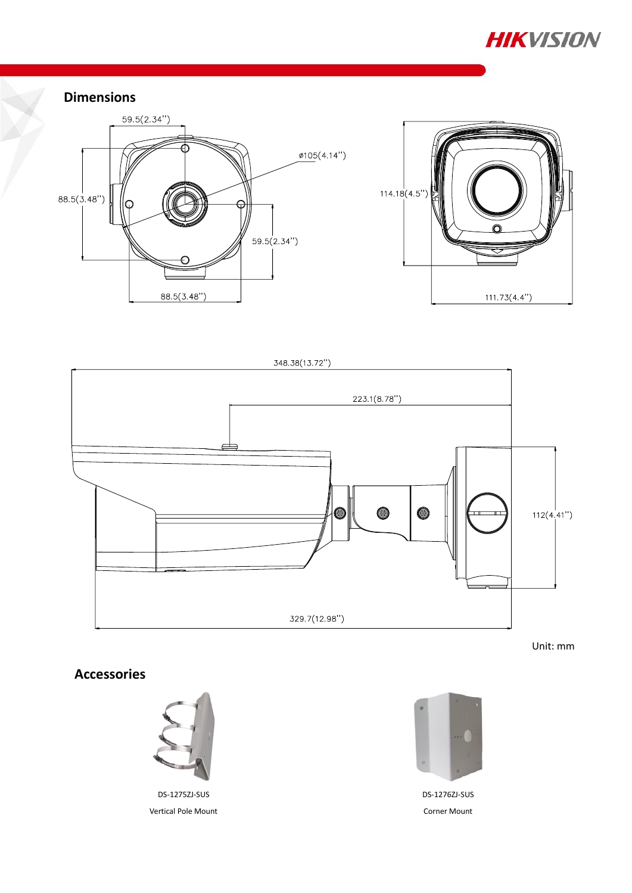

#### **Dimensions**





348.38(13.72")  $223.1(8.78")$ 0 0  $112(4.41")$ 0 329.7(12.98")

Unit: mm

## **Accessories**



DS-1275ZJ-SUS Vertical Pole Mount



DS-1276ZJ-SUS Corner Mount